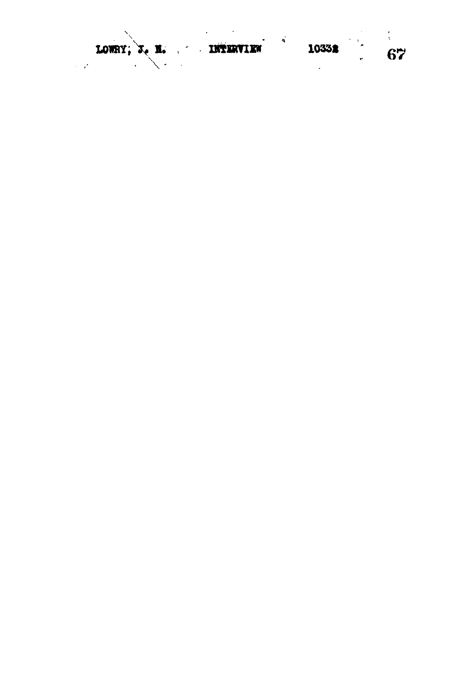| LOWRY, J. H. INTERVIEW | 10332<br>. . | 67 |
|------------------------|--------------|----|
|                        |              |    |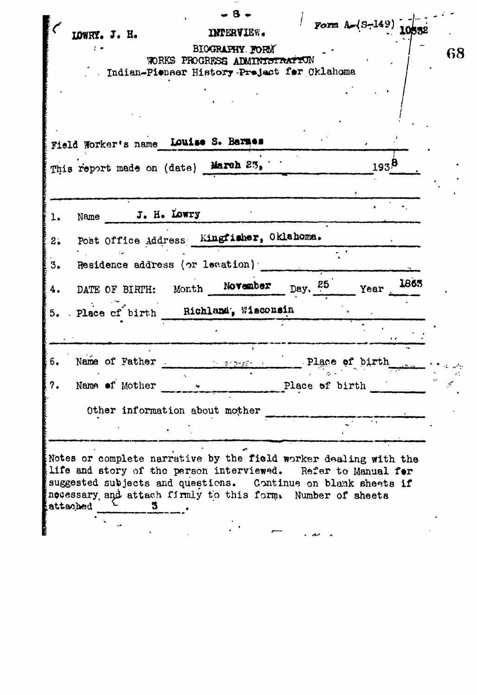|          | LOWRY. J. H.                     | INTERVIEW.<br>BIOGRAPHY FORM<br>WORKS PROGRESS ADMINISTRATION<br>Indian-Pienser History Prejact for Oklahoma                                                                                                                                                     |                | Form $A-(S-149)$ 10532 | 68 |
|----------|----------------------------------|------------------------------------------------------------------------------------------------------------------------------------------------------------------------------------------------------------------------------------------------------------------|----------------|------------------------|----|
|          |                                  |                                                                                                                                                                                                                                                                  |                |                        |    |
|          |                                  | Field Worker's name Louise S. Barnes                                                                                                                                                                                                                             |                |                        |    |
|          |                                  | This report made on (date) March 23,                                                                                                                                                                                                                             |                | 193 <sup>8</sup>       |    |
| ı.       | J. H. LOWIY<br>Name              |                                                                                                                                                                                                                                                                  |                |                        |    |
| 2.       |                                  | Post Office Address Kingfisher, Oklahoma.                                                                                                                                                                                                                        |                |                        |    |
| 3.       | Residence address (or leastion). |                                                                                                                                                                                                                                                                  |                |                        |    |
| 4.       |                                  | DATE OF BIRTH: Month November                                                                                                                                                                                                                                    | Day, 25        | 1863<br>Year           |    |
| 5.       |                                  | Place of birth Richland, Wisconsin                                                                                                                                                                                                                               |                |                        |    |
|          |                                  |                                                                                                                                                                                                                                                                  |                |                        |    |
| 6.       |                                  | Name of Father Manuscript Place of birth                                                                                                                                                                                                                         |                |                        |    |
|          | Name of Mother                   | $\bullet$                                                                                                                                                                                                                                                        | Place of birth |                        |    |
|          |                                  | Other information about mother                                                                                                                                                                                                                                   |                |                        |    |
|          |                                  |                                                                                                                                                                                                                                                                  |                |                        |    |
| attached | 3.                               | Notes or complete narrative by the field worker dealing with the<br>life and story of the person interviewed. Refer to Manual for<br>suggested subjects and questions. Continue on blank sheets if<br>necessary and attach firmly to this form. Number of sheets |                |                        |    |

 $\sim$  100  $\sim$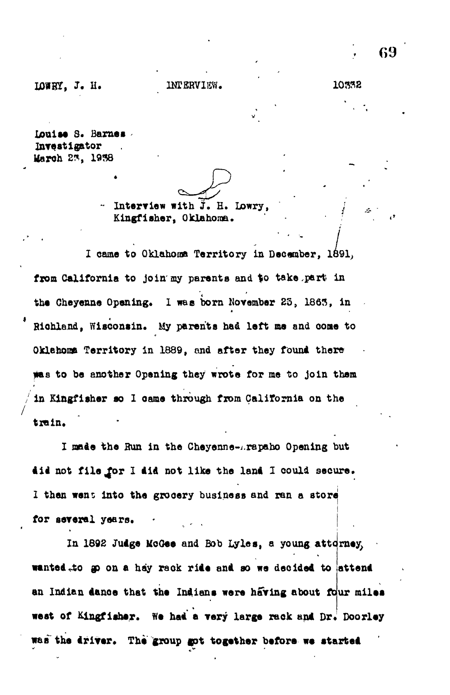## **IOWEY, J. H. 10332 INTERVIEW.** 10332

**Louise 3 . Barnes Investigator March 2\*, 1938**

Interview with  $\tilde{J}$ . H. Lowry, **Kingfisher, Oklahoma.**

I came to Oklahoma Territory in December, 1891, **from California to join'my parents and** *%o* **take,pert- in the Cheyenne Opening. 1 was born November 25, 1865, in Riohland, Wisconsin. My parents had left me and oome to** Oklahoma Territory in 1889, and after they found there was to be another Opening they wrote for me to join them in Kingfisher so I came through from California on the **train.**

**I node the Bun in the Cheyenne-;.repaho Opening but** did not file for I did not like the land I could secure. **1 then want, into the grocery business and ran a store for several years.**

**In 1892 Judge MoOee and Bob Lyles, a young attorney, g) on e hay rack ride and so we deoided to attend** an Indian dance that the Indians were having about four miles **west of Kingfisher. We had a very large rack and Dr» Doorley** was the driver. The group got together before we started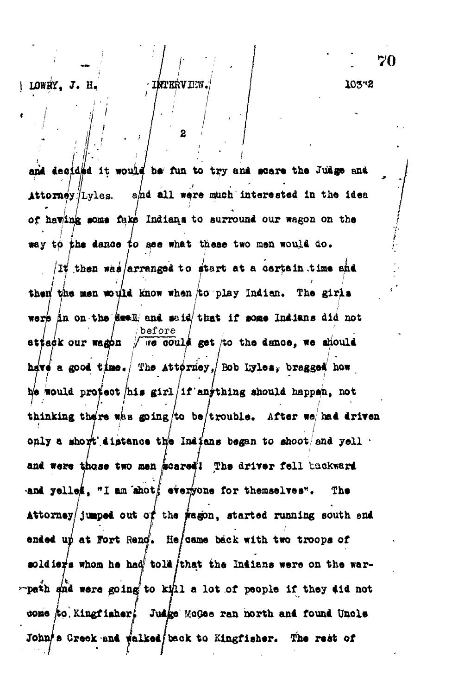LOWHY, *J.* H .

**f / ;** 10372

ツハ

and decided it would be fun to try and scare the Judge and *' i I ' •' •* **Attorney ,/Lyles. and all were much interested in the idea** ing some fake Indians **of**  $\frac{1}{\sqrt{2}}$  some fact  $\frac{1}{\sqrt{2}}$  some fact  $\frac{1}{\sqrt{2}}$ way to the dance to see what these two men would do.

INTERVIEW

2

It then was arranged to start at a certain time and the men would know when to play indian. The girls on the **deel** and said that if some Indians did not attack our wagon  $\int$   $\frac{1}{100}$   $\int$   $\frac{1}{100}$   $\int$   $\frac{1}{100}$   $\int$   $\frac{1}{100}$   $\int$   $\frac{1}{100}$   $\int$   $\frac{1}{100}$   $\int$   $\frac{1}{100}$   $\int$   $\frac{1}{100}$   $\int$   $\frac{1}{100}$   $\int$   $\frac{1}{100}$   $\int$   $\frac{1}{100}$   $\int$   $\frac{1}{100}$   $\begin{bmatrix} 1 & 1 \end{bmatrix}$  our  $\begin{bmatrix} 1 & 1 \end{bmatrix}$  our  $\begin{bmatrix} 1 & 1 \end{bmatrix}$  get  $\begin{bmatrix} 1 & 1 \end{bmatrix}$  and  $\begin{bmatrix} 1 & 1 \end{bmatrix}$ **•« a good tiae, : The Attorney,/Bob Igrleay bragged' how he would proteot/hi» girl/i f anything should happen, not thinking there was go ing/to be/trouble. After we/had driven** only a short distance the Indians began to shoot and yell  $\cdot$ and ware those two man *mosmall* The driven fall bookward **and were those two men /beared^ The driver fell backward •and yelleji, rtI am'shotj evexiyone for themselves^. The /** *i •* **Attorney/jumped out of the Fagbn, started running south end** ended up at Fort Reno. He/came back with two troops of soldiers whom he had told that the Indians were on the warrpath and were going to kill a lot of people if they did not come to Kingfisher. Judge McGee ran north and found Uncle John's Creek and walked/back to Kingfisher. The rest of **John/ a Creek and walked/back to Kingfisher. The rest of**